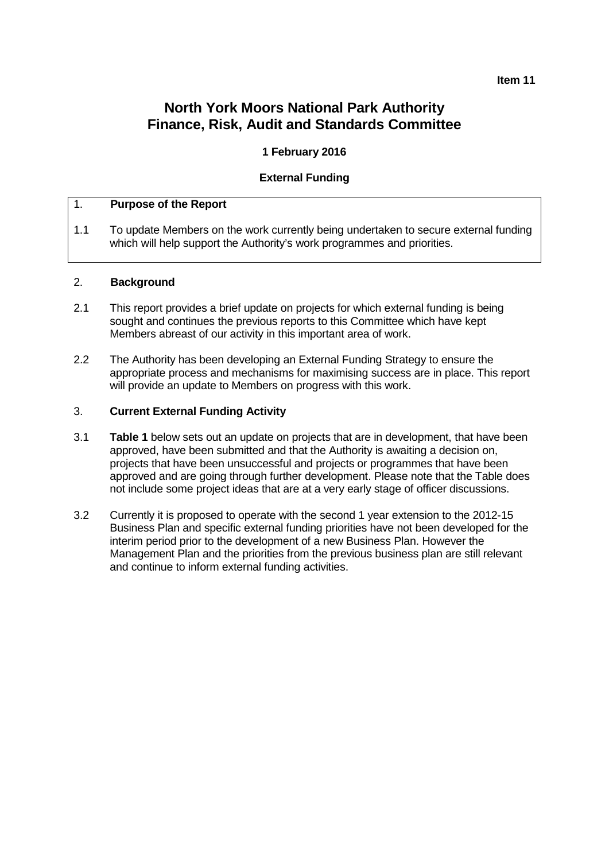#### **Item 11**

# **North York Moors National Park Authority Finance, Risk, Audit and Standards Committee**

### **1 February 2016**

### **External Funding**

### 1. **Purpose of the Report**

1.1 To update Members on the work currently being undertaken to secure external funding which will help support the Authority's work programmes and priorities.

#### 2. **Background**

- 2.1 This report provides a brief update on projects for which external funding is being sought and continues the previous reports to this Committee which have kept Members abreast of our activity in this important area of work.
- 2.2 The Authority has been developing an External Funding Strategy to ensure the appropriate process and mechanisms for maximising success are in place. This report will provide an update to Members on progress with this work.

### 3. **Current External Funding Activity**

- 3.1 **Table 1** below sets out an update on projects that are in development, that have been approved, have been submitted and that the Authority is awaiting a decision on, projects that have been unsuccessful and projects or programmes that have been approved and are going through further development. Please note that the Table does not include some project ideas that are at a very early stage of officer discussions.
- 3.2 Currently it is proposed to operate with the second 1 year extension to the 2012-15 Business Plan and specific external funding priorities have not been developed for the interim period prior to the development of a new Business Plan. However the Management Plan and the priorities from the previous business plan are still relevant and continue to inform external funding activities.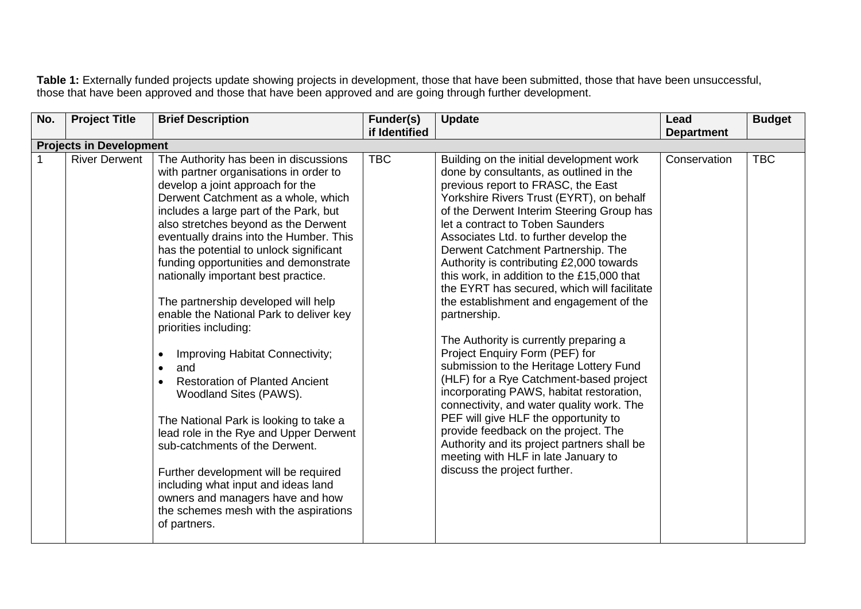**Table 1:** Externally funded projects update showing projects in development, those that have been submitted, those that have been unsuccessful, those that have been approved and those that have been approved and are going through further development.

| No. | <b>Project Title</b>           | <b>Brief Description</b>                                                                                                                                                                                                                                                                                                                                                                                                                                                                                                                                                                                                                                                                                                                                                                                                                                                                                                                                  | Funder(s)     | <b>Update</b>                                                                                                                                                                                                                                                                                                                                                                                                                                                                                                                                                                                                                                                                                                                                                                                                                                                                                                                                                                                               | Lead              | <b>Budget</b> |
|-----|--------------------------------|-----------------------------------------------------------------------------------------------------------------------------------------------------------------------------------------------------------------------------------------------------------------------------------------------------------------------------------------------------------------------------------------------------------------------------------------------------------------------------------------------------------------------------------------------------------------------------------------------------------------------------------------------------------------------------------------------------------------------------------------------------------------------------------------------------------------------------------------------------------------------------------------------------------------------------------------------------------|---------------|-------------------------------------------------------------------------------------------------------------------------------------------------------------------------------------------------------------------------------------------------------------------------------------------------------------------------------------------------------------------------------------------------------------------------------------------------------------------------------------------------------------------------------------------------------------------------------------------------------------------------------------------------------------------------------------------------------------------------------------------------------------------------------------------------------------------------------------------------------------------------------------------------------------------------------------------------------------------------------------------------------------|-------------------|---------------|
|     |                                |                                                                                                                                                                                                                                                                                                                                                                                                                                                                                                                                                                                                                                                                                                                                                                                                                                                                                                                                                           | if Identified |                                                                                                                                                                                                                                                                                                                                                                                                                                                                                                                                                                                                                                                                                                                                                                                                                                                                                                                                                                                                             | <b>Department</b> |               |
|     | <b>Projects in Development</b> |                                                                                                                                                                                                                                                                                                                                                                                                                                                                                                                                                                                                                                                                                                                                                                                                                                                                                                                                                           |               |                                                                                                                                                                                                                                                                                                                                                                                                                                                                                                                                                                                                                                                                                                                                                                                                                                                                                                                                                                                                             |                   |               |
|     | <b>River Derwent</b>           | The Authority has been in discussions<br>with partner organisations in order to<br>develop a joint approach for the<br>Derwent Catchment as a whole, which<br>includes a large part of the Park, but<br>also stretches beyond as the Derwent<br>eventually drains into the Humber. This<br>has the potential to unlock significant<br>funding opportunities and demonstrate<br>nationally important best practice.<br>The partnership developed will help<br>enable the National Park to deliver key<br>priorities including:<br>Improving Habitat Connectivity;<br>and<br>$\bullet$<br><b>Restoration of Planted Ancient</b><br>Woodland Sites (PAWS).<br>The National Park is looking to take a<br>lead role in the Rye and Upper Derwent<br>sub-catchments of the Derwent.<br>Further development will be required<br>including what input and ideas land<br>owners and managers have and how<br>the schemes mesh with the aspirations<br>of partners. | <b>TBC</b>    | Building on the initial development work<br>done by consultants, as outlined in the<br>previous report to FRASC, the East<br>Yorkshire Rivers Trust (EYRT), on behalf<br>of the Derwent Interim Steering Group has<br>let a contract to Toben Saunders<br>Associates Ltd. to further develop the<br>Derwent Catchment Partnership. The<br>Authority is contributing £2,000 towards<br>this work, in addition to the £15,000 that<br>the EYRT has secured, which will facilitate<br>the establishment and engagement of the<br>partnership.<br>The Authority is currently preparing a<br>Project Enquiry Form (PEF) for<br>submission to the Heritage Lottery Fund<br>(HLF) for a Rye Catchment-based project<br>incorporating PAWS, habitat restoration,<br>connectivity, and water quality work. The<br>PEF will give HLF the opportunity to<br>provide feedback on the project. The<br>Authority and its project partners shall be<br>meeting with HLF in late January to<br>discuss the project further. | Conservation      | <b>TBC</b>    |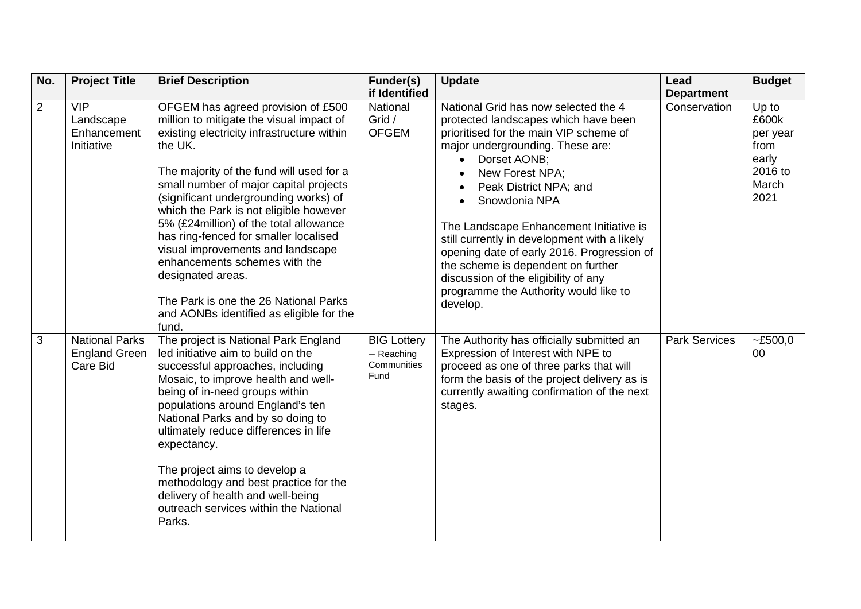| No.            | <b>Project Title</b>                                      | <b>Brief Description</b>                                                                                                                                                                                                                                                                                                                                                                                                                                                                                                                                                                      | Funder(s)                                                 | <b>Update</b>                                                                                                                                                                                                                                                                                                                                                                                                                                                                                                                                  | Lead                 | <b>Budget</b>                                                           |
|----------------|-----------------------------------------------------------|-----------------------------------------------------------------------------------------------------------------------------------------------------------------------------------------------------------------------------------------------------------------------------------------------------------------------------------------------------------------------------------------------------------------------------------------------------------------------------------------------------------------------------------------------------------------------------------------------|-----------------------------------------------------------|------------------------------------------------------------------------------------------------------------------------------------------------------------------------------------------------------------------------------------------------------------------------------------------------------------------------------------------------------------------------------------------------------------------------------------------------------------------------------------------------------------------------------------------------|----------------------|-------------------------------------------------------------------------|
|                |                                                           |                                                                                                                                                                                                                                                                                                                                                                                                                                                                                                                                                                                               | if Identified                                             |                                                                                                                                                                                                                                                                                                                                                                                                                                                                                                                                                | <b>Department</b>    |                                                                         |
| $\overline{2}$ | <b>VIP</b><br>Landscape<br>Enhancement<br>Initiative      | OFGEM has agreed provision of £500<br>million to mitigate the visual impact of<br>existing electricity infrastructure within<br>the UK.<br>The majority of the fund will used for a<br>small number of major capital projects<br>(significant undergrounding works) of<br>which the Park is not eligible however<br>5% (£24 million) of the total allowance<br>has ring-fenced for smaller localised<br>visual improvements and landscape<br>enhancements schemes with the<br>designated areas.<br>The Park is one the 26 National Parks<br>and AONBs identified as eligible for the<br>fund. | National<br>Grid /<br><b>OFGEM</b>                        | National Grid has now selected the 4<br>protected landscapes which have been<br>prioritised for the main VIP scheme of<br>major undergrounding. These are:<br>Dorset AONB:<br>$\bullet$<br>New Forest NPA;<br>Peak District NPA; and<br>$\bullet$<br>Snowdonia NPA<br>The Landscape Enhancement Initiative is<br>still currently in development with a likely<br>opening date of early 2016. Progression of<br>the scheme is dependent on further<br>discussion of the eligibility of any<br>programme the Authority would like to<br>develop. | Conservation         | Up to<br>£600k<br>per year<br>from<br>early<br>2016 to<br>March<br>2021 |
| $\overline{3}$ | <b>National Parks</b><br><b>England Green</b><br>Care Bid | The project is National Park England<br>led initiative aim to build on the<br>successful approaches, including<br>Mosaic, to improve health and well-<br>being of in-need groups within<br>populations around England's ten<br>National Parks and by so doing to<br>ultimately reduce differences in life<br>expectancy.<br>The project aims to develop a<br>methodology and best practice for the<br>delivery of health and well-being<br>outreach services within the National<br>Parks.                                                                                                    | <b>BIG Lottery</b><br>$-$ Reaching<br>Communities<br>Fund | The Authority has officially submitted an<br>Expression of Interest with NPE to<br>proceed as one of three parks that will<br>form the basis of the project delivery as is<br>currently awaiting confirmation of the next<br>stages.                                                                                                                                                                                                                                                                                                           | <b>Park Services</b> | ~500,0<br>$00\,$                                                        |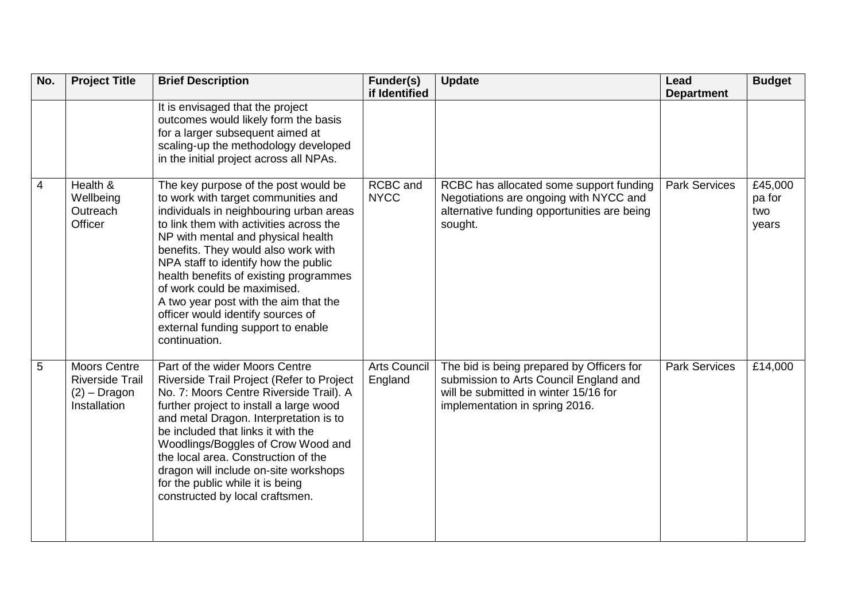| No. | <b>Project Title</b>                                                            | <b>Brief Description</b>                                                                                                                                                                                                                                                                                                                                                                                                                                                                             | Funder(s)<br>if Identified     | <b>Update</b>                                                                                                                                                  | Lead<br><b>Department</b> | <b>Budget</b>                     |
|-----|---------------------------------------------------------------------------------|------------------------------------------------------------------------------------------------------------------------------------------------------------------------------------------------------------------------------------------------------------------------------------------------------------------------------------------------------------------------------------------------------------------------------------------------------------------------------------------------------|--------------------------------|----------------------------------------------------------------------------------------------------------------------------------------------------------------|---------------------------|-----------------------------------|
|     |                                                                                 | It is envisaged that the project<br>outcomes would likely form the basis<br>for a larger subsequent aimed at<br>scaling-up the methodology developed<br>in the initial project across all NPAs.                                                                                                                                                                                                                                                                                                      |                                |                                                                                                                                                                |                           |                                   |
| 4   | Health $\overline{\mathbf{g}}$<br>Wellbeing<br>Outreach<br>Officer              | The key purpose of the post would be<br>to work with target communities and<br>individuals in neighbouring urban areas<br>to link them with activities across the<br>NP with mental and physical health<br>benefits. They would also work with<br>NPA staff to identify how the public<br>health benefits of existing programmes<br>of work could be maximised.<br>A two year post with the aim that the<br>officer would identify sources of<br>external funding support to enable<br>continuation. | <b>RCBC</b> and<br><b>NYCC</b> | RCBC has allocated some support funding<br>Negotiations are ongoing with NYCC and<br>alternative funding opportunities are being<br>sought.                    | <b>Park Services</b>      | £45,000<br>pa for<br>two<br>years |
| 5   | <b>Moors Centre</b><br><b>Riverside Trail</b><br>$(2)$ – Dragon<br>Installation | Part of the wider Moors Centre<br>Riverside Trail Project (Refer to Project<br>No. 7: Moors Centre Riverside Trail). A<br>further project to install a large wood<br>and metal Dragon. Interpretation is to<br>be included that links it with the<br>Woodlings/Boggles of Crow Wood and<br>the local area. Construction of the<br>dragon will include on-site workshops<br>for the public while it is being<br>constructed by local craftsmen.                                                       | <b>Arts Council</b><br>England | The bid is being prepared by Officers for<br>submission to Arts Council England and<br>will be submitted in winter 15/16 for<br>implementation in spring 2016. | <b>Park Services</b>      | £14,000                           |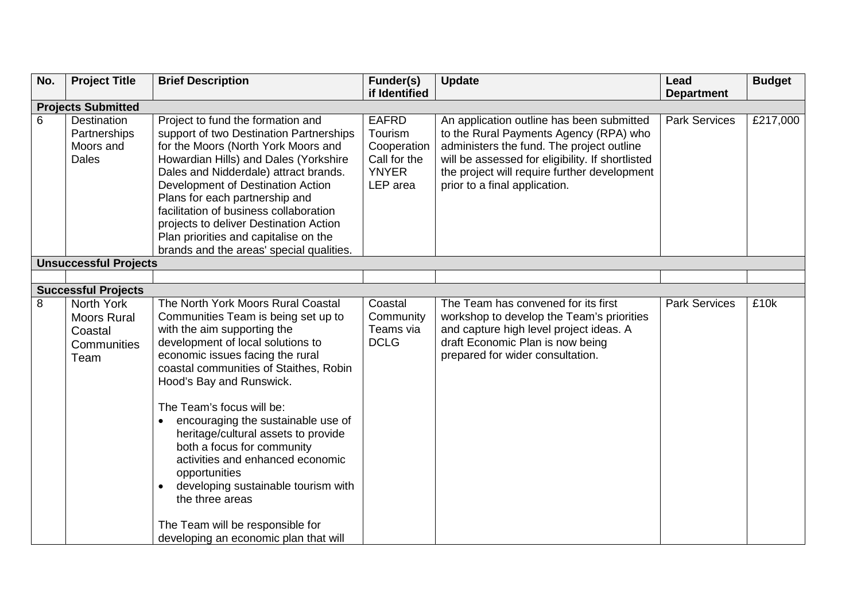| No. | <b>Project Title</b>                                               | <b>Brief Description</b>                                                                                                                                                                                                                                                                                                                                                                                                                                                                                                                                                                                 | Funder(s)                                                                          | <b>Update</b>                                                                                                                                                                                                                                                         | Lead                 | <b>Budget</b> |
|-----|--------------------------------------------------------------------|----------------------------------------------------------------------------------------------------------------------------------------------------------------------------------------------------------------------------------------------------------------------------------------------------------------------------------------------------------------------------------------------------------------------------------------------------------------------------------------------------------------------------------------------------------------------------------------------------------|------------------------------------------------------------------------------------|-----------------------------------------------------------------------------------------------------------------------------------------------------------------------------------------------------------------------------------------------------------------------|----------------------|---------------|
|     |                                                                    |                                                                                                                                                                                                                                                                                                                                                                                                                                                                                                                                                                                                          | if Identified                                                                      |                                                                                                                                                                                                                                                                       | <b>Department</b>    |               |
|     | <b>Projects Submitted</b>                                          |                                                                                                                                                                                                                                                                                                                                                                                                                                                                                                                                                                                                          |                                                                                    |                                                                                                                                                                                                                                                                       |                      |               |
| 6   | <b>Destination</b><br>Partnerships<br>Moors and<br><b>Dales</b>    | Project to fund the formation and<br>support of two Destination Partnerships<br>for the Moors (North York Moors and<br>Howardian Hills) and Dales (Yorkshire<br>Dales and Nidderdale) attract brands.<br>Development of Destination Action<br>Plans for each partnership and<br>facilitation of business collaboration<br>projects to deliver Destination Action<br>Plan priorities and capitalise on the<br>brands and the areas' special qualities.                                                                                                                                                    | <b>EAFRD</b><br>Tourism<br>Cooperation<br>Call for the<br><b>YNYER</b><br>LEP area | An application outline has been submitted<br>to the Rural Payments Agency (RPA) who<br>administers the fund. The project outline<br>will be assessed for eligibility. If shortlisted<br>the project will require further development<br>prior to a final application. | <b>Park Services</b> | £217,000      |
|     | <b>Unsuccessful Projects</b>                                       |                                                                                                                                                                                                                                                                                                                                                                                                                                                                                                                                                                                                          |                                                                                    |                                                                                                                                                                                                                                                                       |                      |               |
|     |                                                                    |                                                                                                                                                                                                                                                                                                                                                                                                                                                                                                                                                                                                          |                                                                                    |                                                                                                                                                                                                                                                                       |                      |               |
|     | <b>Successful Projects</b>                                         |                                                                                                                                                                                                                                                                                                                                                                                                                                                                                                                                                                                                          |                                                                                    |                                                                                                                                                                                                                                                                       |                      |               |
| 8   | North York<br><b>Moors Rural</b><br>Coastal<br>Communities<br>Team | The North York Moors Rural Coastal<br>Communities Team is being set up to<br>with the aim supporting the<br>development of local solutions to<br>economic issues facing the rural<br>coastal communities of Staithes, Robin<br>Hood's Bay and Runswick.<br>The Team's focus will be:<br>encouraging the sustainable use of<br>heritage/cultural assets to provide<br>both a focus for community<br>activities and enhanced economic<br>opportunities<br>developing sustainable tourism with<br>$\bullet$<br>the three areas<br>The Team will be responsible for<br>developing an economic plan that will | Coastal<br>Community<br>Teams via<br><b>DCLG</b>                                   | The Team has convened for its first<br>workshop to develop the Team's priorities<br>and capture high level project ideas. A<br>draft Economic Plan is now being<br>prepared for wider consultation.                                                                   | <b>Park Services</b> | £10k          |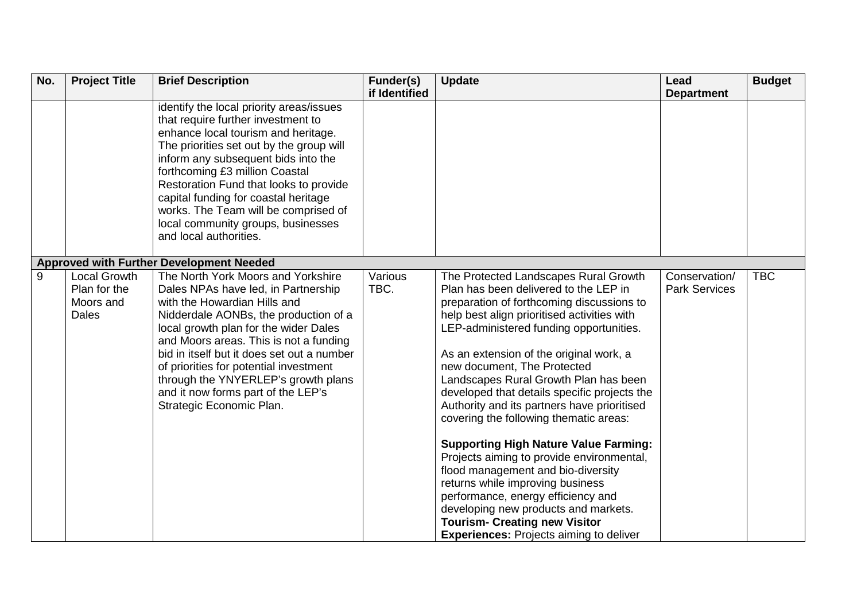| No. | <b>Project Title</b>                | <b>Brief Description</b>                                                       | Funder(s)       | <b>Update</b>                                                                               | Lead                                  | <b>Budget</b> |
|-----|-------------------------------------|--------------------------------------------------------------------------------|-----------------|---------------------------------------------------------------------------------------------|---------------------------------------|---------------|
|     |                                     |                                                                                | if Identified   |                                                                                             | <b>Department</b>                     |               |
|     |                                     | identify the local priority areas/issues<br>that require further investment to |                 |                                                                                             |                                       |               |
|     |                                     | enhance local tourism and heritage.                                            |                 |                                                                                             |                                       |               |
|     |                                     | The priorities set out by the group will                                       |                 |                                                                                             |                                       |               |
|     |                                     | inform any subsequent bids into the<br>forthcoming £3 million Coastal          |                 |                                                                                             |                                       |               |
|     |                                     | Restoration Fund that looks to provide                                         |                 |                                                                                             |                                       |               |
|     |                                     | capital funding for coastal heritage                                           |                 |                                                                                             |                                       |               |
|     |                                     | works. The Team will be comprised of                                           |                 |                                                                                             |                                       |               |
|     |                                     | local community groups, businesses                                             |                 |                                                                                             |                                       |               |
|     |                                     | and local authorities.                                                         |                 |                                                                                             |                                       |               |
|     |                                     |                                                                                |                 |                                                                                             |                                       |               |
|     |                                     | <b>Approved with Further Development Needed</b>                                |                 |                                                                                             |                                       |               |
| 9   | <b>Local Growth</b><br>Plan for the | The North York Moors and Yorkshire                                             | Various<br>TBC. | The Protected Landscapes Rural Growth<br>Plan has been delivered to the LEP in              | Conservation/<br><b>Park Services</b> | <b>TBC</b>    |
|     | Moors and                           | Dales NPAs have led, in Partnership<br>with the Howardian Hills and            |                 | preparation of forthcoming discussions to                                                   |                                       |               |
|     | <b>Dales</b>                        | Nidderdale AONBs, the production of a                                          |                 | help best align prioritised activities with                                                 |                                       |               |
|     |                                     | local growth plan for the wider Dales                                          |                 | LEP-administered funding opportunities.                                                     |                                       |               |
|     |                                     | and Moors areas. This is not a funding                                         |                 |                                                                                             |                                       |               |
|     |                                     | bid in itself but it does set out a number                                     |                 | As an extension of the original work, a                                                     |                                       |               |
|     |                                     | of priorities for potential investment                                         |                 | new document, The Protected                                                                 |                                       |               |
|     |                                     | through the YNYERLEP's growth plans                                            |                 | Landscapes Rural Growth Plan has been                                                       |                                       |               |
|     |                                     | and it now forms part of the LEP's<br>Strategic Economic Plan.                 |                 | developed that details specific projects the<br>Authority and its partners have prioritised |                                       |               |
|     |                                     |                                                                                |                 | covering the following thematic areas:                                                      |                                       |               |
|     |                                     |                                                                                |                 |                                                                                             |                                       |               |
|     |                                     |                                                                                |                 | <b>Supporting High Nature Value Farming:</b>                                                |                                       |               |
|     |                                     |                                                                                |                 | Projects aiming to provide environmental,                                                   |                                       |               |
|     |                                     |                                                                                |                 | flood management and bio-diversity                                                          |                                       |               |
|     |                                     |                                                                                |                 | returns while improving business                                                            |                                       |               |
|     |                                     |                                                                                |                 | performance, energy efficiency and<br>developing new products and markets.                  |                                       |               |
|     |                                     |                                                                                |                 | <b>Tourism- Creating new Visitor</b>                                                        |                                       |               |
|     |                                     |                                                                                |                 | <b>Experiences: Projects aiming to deliver</b>                                              |                                       |               |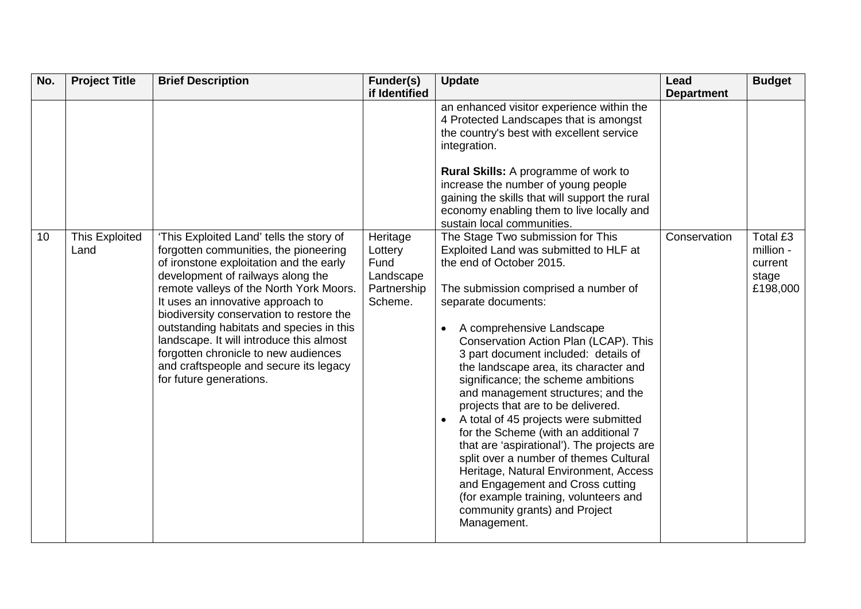| No. | <b>Project Title</b>          | <b>Brief Description</b>                                                                                                                                                                                                                                                                                                                                                                                                                                                                           | Funder(s)<br>if Identified                                         | <b>Update</b>                                                                                                                                                                                                                                                                                                                                                                                                                                                                                                                                                                                                                                                                                                                                                                                                                                                                                                                                                                                                                                                                                                                                                  | Lead<br><b>Department</b> | <b>Budget</b>                                         |
|-----|-------------------------------|----------------------------------------------------------------------------------------------------------------------------------------------------------------------------------------------------------------------------------------------------------------------------------------------------------------------------------------------------------------------------------------------------------------------------------------------------------------------------------------------------|--------------------------------------------------------------------|----------------------------------------------------------------------------------------------------------------------------------------------------------------------------------------------------------------------------------------------------------------------------------------------------------------------------------------------------------------------------------------------------------------------------------------------------------------------------------------------------------------------------------------------------------------------------------------------------------------------------------------------------------------------------------------------------------------------------------------------------------------------------------------------------------------------------------------------------------------------------------------------------------------------------------------------------------------------------------------------------------------------------------------------------------------------------------------------------------------------------------------------------------------|---------------------------|-------------------------------------------------------|
| 10  | <b>This Exploited</b><br>Land | 'This Exploited Land' tells the story of<br>forgotten communities, the pioneering<br>of ironstone exploitation and the early<br>development of railways along the<br>remote valleys of the North York Moors.<br>It uses an innovative approach to<br>biodiversity conservation to restore the<br>outstanding habitats and species in this<br>landscape. It will introduce this almost<br>forgotten chronicle to new audiences<br>and craftspeople and secure its legacy<br>for future generations. | Heritage<br>Lottery<br>Fund<br>Landscape<br>Partnership<br>Scheme. | an enhanced visitor experience within the<br>4 Protected Landscapes that is amongst<br>the country's best with excellent service<br>integration.<br>Rural Skills: A programme of work to<br>increase the number of young people<br>gaining the skills that will support the rural<br>economy enabling them to live locally and<br>sustain local communities.<br>The Stage Two submission for This<br>Exploited Land was submitted to HLF at<br>the end of October 2015.<br>The submission comprised a number of<br>separate documents:<br>A comprehensive Landscape<br>Conservation Action Plan (LCAP). This<br>3 part document included: details of<br>the landscape area, its character and<br>significance; the scheme ambitions<br>and management structures; and the<br>projects that are to be delivered.<br>A total of 45 projects were submitted<br>for the Scheme (with an additional 7<br>that are 'aspirational'). The projects are<br>split over a number of themes Cultural<br>Heritage, Natural Environment, Access<br>and Engagement and Cross cutting<br>(for example training, volunteers and<br>community grants) and Project<br>Management. | Conservation              | Total £3<br>million -<br>current<br>stage<br>£198,000 |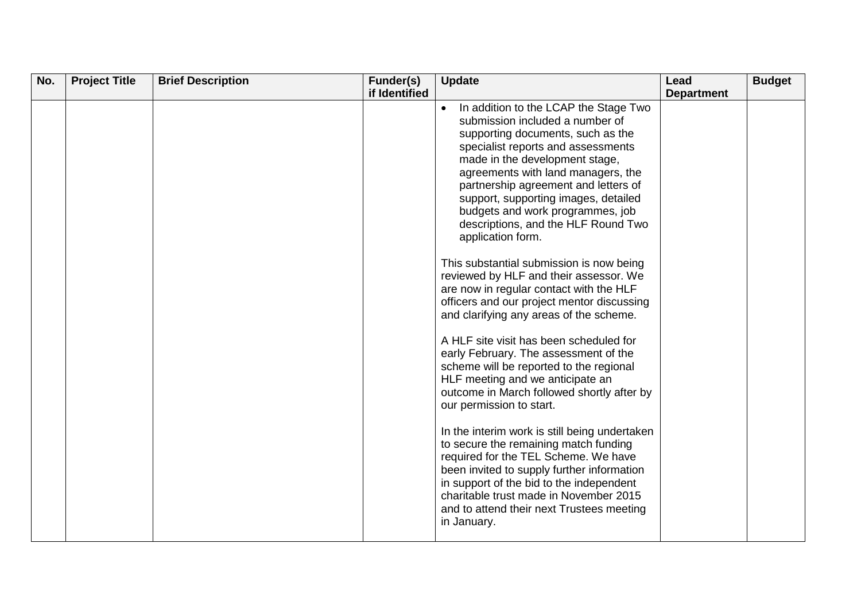| No. | <b>Project Title</b> | <b>Brief Description</b> | Funder(s)     | <b>Update</b>                                                                                                                                                                                                                                                                                                                                                                                                                                                                                                                                                                                                                                                                                 | Lead              | <b>Budget</b> |
|-----|----------------------|--------------------------|---------------|-----------------------------------------------------------------------------------------------------------------------------------------------------------------------------------------------------------------------------------------------------------------------------------------------------------------------------------------------------------------------------------------------------------------------------------------------------------------------------------------------------------------------------------------------------------------------------------------------------------------------------------------------------------------------------------------------|-------------------|---------------|
|     |                      |                          |               |                                                                                                                                                                                                                                                                                                                                                                                                                                                                                                                                                                                                                                                                                               |                   |               |
|     |                      |                          | if Identified | In addition to the LCAP the Stage Two<br>$\bullet$<br>submission included a number of<br>supporting documents, such as the<br>specialist reports and assessments<br>made in the development stage,<br>agreements with land managers, the<br>partnership agreement and letters of<br>support, supporting images, detailed<br>budgets and work programmes, job<br>descriptions, and the HLF Round Two<br>application form.<br>This substantial submission is now being<br>reviewed by HLF and their assessor. We<br>are now in regular contact with the HLF<br>officers and our project mentor discussing<br>and clarifying any areas of the scheme.<br>A HLF site visit has been scheduled for | <b>Department</b> |               |
|     |                      |                          |               | early February. The assessment of the<br>scheme will be reported to the regional<br>HLF meeting and we anticipate an<br>outcome in March followed shortly after by<br>our permission to start.<br>In the interim work is still being undertaken<br>to secure the remaining match funding<br>required for the TEL Scheme. We have<br>been invited to supply further information<br>in support of the bid to the independent<br>charitable trust made in November 2015<br>and to attend their next Trustees meeting<br>in January.                                                                                                                                                              |                   |               |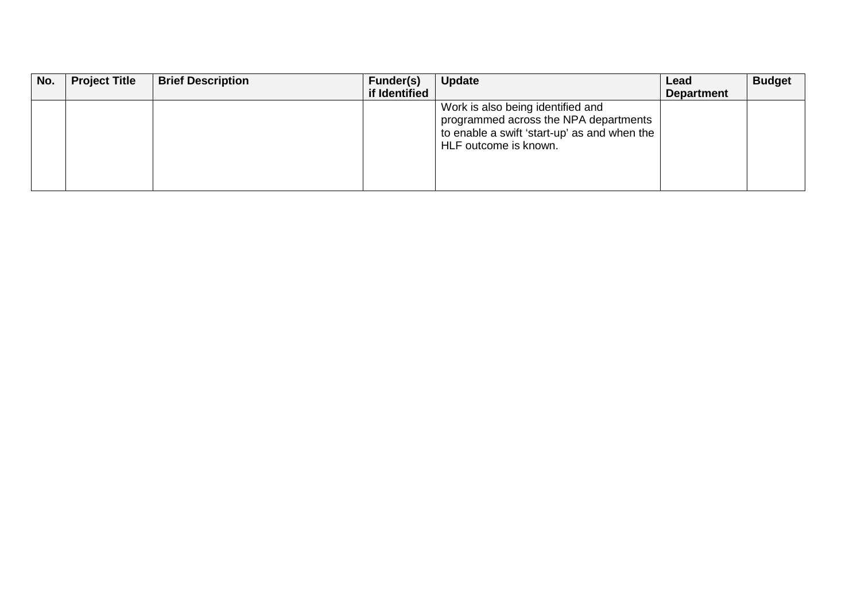| No. | <b>Project Title</b> | <b>Brief Description</b> | Funder(s)     | <b>Update</b>                                                                                                                                           | Lead              | <b>Budget</b> |
|-----|----------------------|--------------------------|---------------|---------------------------------------------------------------------------------------------------------------------------------------------------------|-------------------|---------------|
|     |                      |                          | if Identified |                                                                                                                                                         | <b>Department</b> |               |
|     |                      |                          |               | Work is also being identified and<br>programmed across the NPA departments<br>to enable a swift 'start-up' as and when the $ $<br>HLF outcome is known. |                   |               |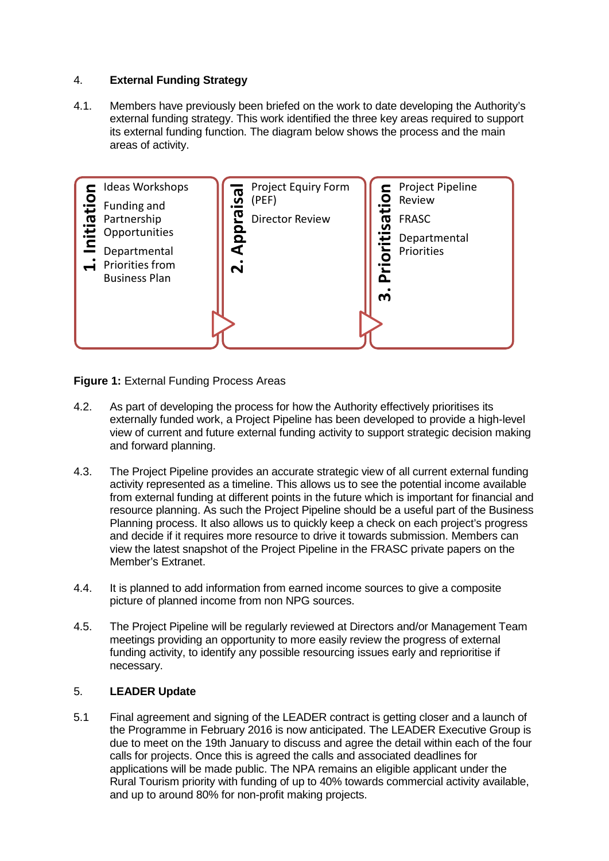# 4. **External Funding Strategy**

4.1. Members have previously been briefed on the work to date developing the Authority's external funding strategy. This work identified the three key areas required to support its external funding function. The diagram below shows the process and the main areas of activity.



**Figure 1:** External Funding Process Areas

- 4.2. As part of developing the process for how the Authority effectively prioritises its externally funded work, a Project Pipeline has been developed to provide a high-level view of current and future external funding activity to support strategic decision making and forward planning.
- 4.3. The Project Pipeline provides an accurate strategic view of all current external funding activity represented as a timeline. This allows us to see the potential income available from external funding at different points in the future which is important for financial and resource planning. As such the Project Pipeline should be a useful part of the Business Planning process. It also allows us to quickly keep a check on each project's progress and decide if it requires more resource to drive it towards submission. Members can view the latest snapshot of the Project Pipeline in the FRASC private papers on the Member's Extranet.
- 4.4. It is planned to add information from earned income sources to give a composite picture of planned income from non NPG sources.
- 4.5. The Project Pipeline will be regularly reviewed at Directors and/or Management Team meetings providing an opportunity to more easily review the progress of external funding activity, to identify any possible resourcing issues early and reprioritise if necessary.

## 5. **LEADER Update**

5.1 Final agreement and signing of the LEADER contract is getting closer and a launch of the Programme in February 2016 is now anticipated. The LEADER Executive Group is due to meet on the 19th January to discuss and agree the detail within each of the four calls for projects. Once this is agreed the calls and associated deadlines for applications will be made public. The NPA remains an eligible applicant under the Rural Tourism priority with funding of up to 40% towards commercial activity available, and up to around 80% for non-profit making projects.